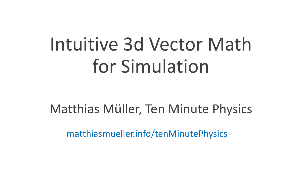# Intuitive 3d Vector Math for Simulation

### Matthias Müller, Ten Minute Physics

matthiasmueller.info/tenMinutePhysics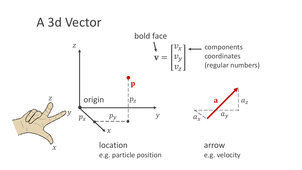### A 3d Vector

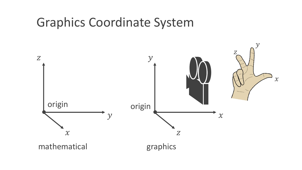### Graphics Coordinate System

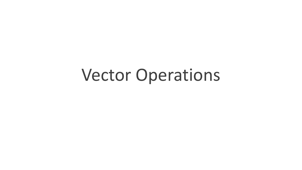## Vector Operations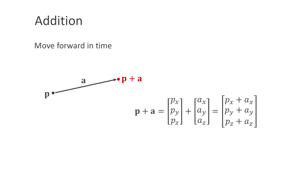### Addition

#### Move forward in time

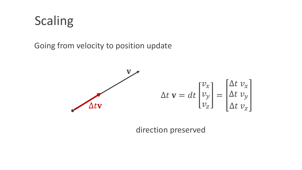### Scaling

Going from velocity to position update



direction preserved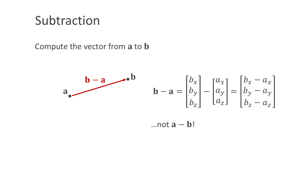### Subtraction

Compute the vector from a to **b** 



 $...$ not  $a - b!$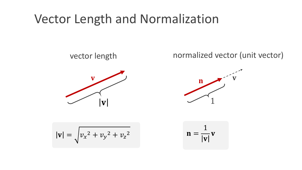### Vector Length and Normalization

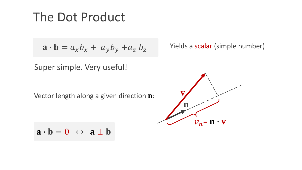### The Dot Product

$$
\mathbf{a} \cdot \mathbf{b} = a_x b_x + a_y b_y + a_z b_z
$$

Super simple. Very useful!

Vector length along a given direction **n**:



$$
\mathbf{a} \cdot \mathbf{b} = 0 \leftrightarrow \mathbf{a} \perp \mathbf{b}
$$

Yields a scalar (simple number)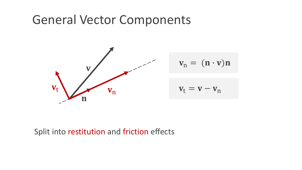### General Vector Components



#### Split into restitution and friction effects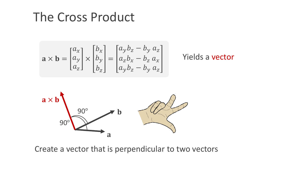### The Cross Product

$$
\mathbf{a} \times \mathbf{b} = \begin{bmatrix} a_x \\ a_y \\ a_z \end{bmatrix} \times \begin{bmatrix} b_x \\ b_y \\ b_z \end{bmatrix} = \begin{bmatrix} a_y b_z - b_y & a_z \\ a_z b_x - b_z & a_x \\ a_y b_z - b_y & a_z \end{bmatrix}
$$

Yields a vector



Create a vector that is perpendicular to two vectors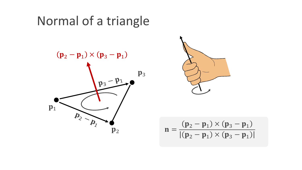### Normal of a triangle





$$
\mathbf{n} = \frac{(\mathbf{p}_2 - \mathbf{p}_1) \times (\mathbf{p}_3 - \mathbf{p}_1)}{|(\mathbf{p}_2 - \mathbf{p}_1) \times (\mathbf{p}_3 - \mathbf{p}_1)|}
$$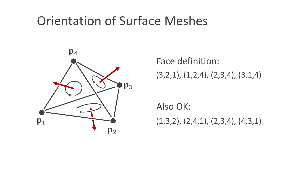### Orientation of Surface Meshes



Face definition: (3,2,1), (1,2,4), (2,3,4), (3,1,4)

Also OK: (1,3,2), (2,4,1), (2,3,4), (4,3,1)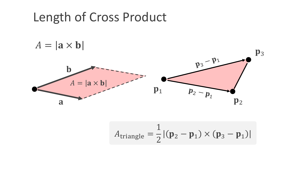### Length of Cross Product



$$
A_{\text{triangle}} = \frac{1}{2} |(\mathbf{p}_2 - \mathbf{p}_1) \times (\mathbf{p}_3 - \mathbf{p}_1)|
$$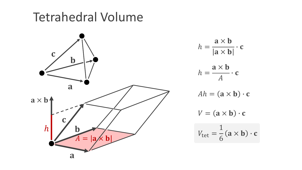### Tetrahedral Volume



$$
h = \frac{\mathbf{a} \times \mathbf{b}}{|\mathbf{a} \times \mathbf{b}|} \cdot \mathbf{c}
$$
  
\n
$$
h = \frac{\mathbf{a} \times \mathbf{b}}{A} \cdot \mathbf{c}
$$
  
\n
$$
Ah = (\mathbf{a} \times \mathbf{b}) \cdot \mathbf{c}
$$
  
\n
$$
V = (\mathbf{a} \times \mathbf{b}) \cdot \mathbf{c}
$$
  
\n
$$
V_{\text{tet}} = \frac{1}{6} (\mathbf{a} \times \mathbf{b}) \cdot \mathbf{c}
$$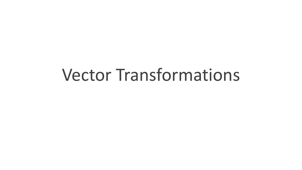### Vector Transformations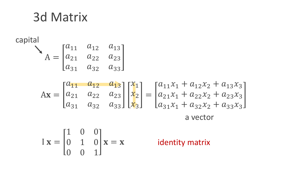### 3d Matrix

capital

$$
A = \begin{bmatrix} a_{11} & a_{12} & a_{13} \\ a_{21} & a_{22} & a_{23} \\ a_{31} & a_{32} & a_{33} \end{bmatrix}
$$

$$
A\mathbf{x} = \begin{bmatrix} a_{11} & a_{12} & a_{13} \\ a_{21} & a_{22} & a_{23} \\ a_{31} & a_{32} & a_{33} \end{bmatrix} \begin{bmatrix} x_1 \\ x_2 \\ x_3 \end{bmatrix} = \begin{bmatrix} a_{11}x_1 + a_{12}x_2 + a_{13}x_3 \\ a_{21}x_1 + a_{22}x_2 + a_{23}x_3 \\ a_{31}x_1 + a_{32}x_2 + a_{33}x_3 \end{bmatrix}
$$
  
a vector

$$
I \mathbf{x} = \begin{bmatrix} 1 & 0 & 0 \\ 0 & 1 & 0 \\ 0 & 0 & 1 \end{bmatrix} \mathbf{x} = \mathbf{x}
$$

$$
\mathbf{x} = \mathbf{x} \qquad \qquad \text{identity matrix}
$$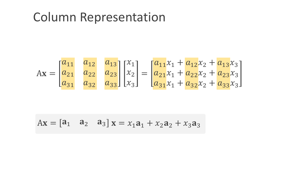### Column Representation

$$
A\mathbf{x} = \begin{bmatrix} a_{11} & a_{12} & a_{13} \\ a_{21} & a_{22} & a_{23} \\ a_{31} & a_{32} & a_{33} \end{bmatrix} \begin{bmatrix} x_1 \\ x_2 \\ x_3 \end{bmatrix} = \begin{bmatrix} a_{11}x_1 + a_{12}x_2 + a_{13}x_3 \\ a_{21}x_1 + a_{22}x_2 + a_{23}x_3 \\ a_{31}x_1 + a_{32}x_2 + a_{33}x_3 \end{bmatrix}
$$

$$
Ax = [a_1 \quad a_2 \quad a_3] x = x_1 a_1 + x_2 a_2 + x_3 a_3
$$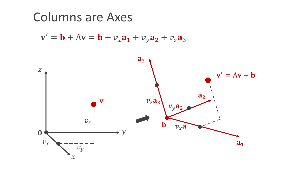#### Columns are Axes

 $v' = b + Av = b + v_x a_1 + v_y a_2 + v_z a_3$ 

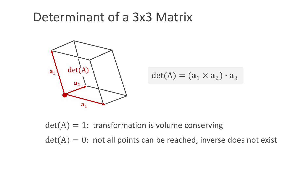### Determinant of a 3x3 Matrix



$$
\det(A) = (a_1 \times a_2) \cdot a_3
$$

 $det(A) = 1$ : transformation is volume conserving

 $det(A) = 0$ : not all points can be reached, inverse does not exist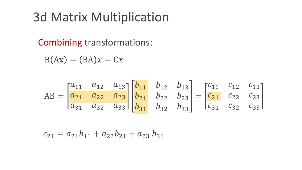### 3d Matrix Multiplication

Combining transformations:

 $B(Ax) = (BA)x = Cx$ 

$$
AB = \begin{bmatrix} a_{11} & a_{12} & a_{13} \\ a_{21} & a_{22} & a_{23} \\ a_{31} & a_{32} & a_{33} \end{bmatrix} \begin{bmatrix} b_{11} & b_{12} & b_{13} \\ b_{21} & b_{22} & b_{23} \\ b_{31} & b_{32} & b_{33} \end{bmatrix} = \begin{bmatrix} c_{11} & c_{12} & c_{13} \\ c_{21} & c_{22} & c_{23} \\ c_{31} & c_{32} & c_{33} \end{bmatrix}
$$

 $c_{21} = a_{21}b_{11} + a_{22}b_{21} + a_{23}b_{31}$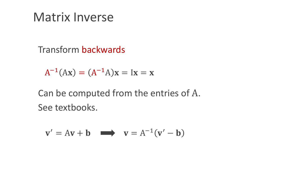### Matrix Inverse

Transform backwards

 $A^{-1}(Ax) = (A^{-1}A)x = Ix = x$ 

Can be computed from the entries of A. See textbooks.

$$
\mathbf{v}' = A\mathbf{v} + \mathbf{b} \quad \Longrightarrow \quad \mathbf{v} = A^{-1}(\mathbf{v}' - \mathbf{b})
$$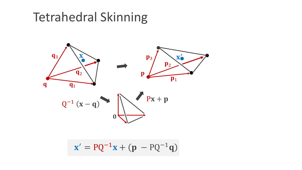### Tetrahedral Skinning

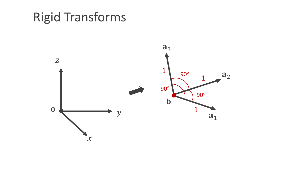### Rigid Transforms

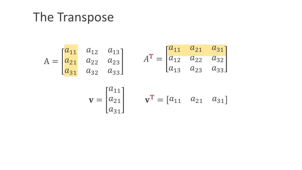### The Transpose

$$
A = \begin{bmatrix} a_{11} & a_{12} & a_{13} \\ a_{21} & a_{22} & a_{23} \\ a_{31} & a_{32} & a_{33} \end{bmatrix} \qquad A^{T} = \begin{bmatrix} a_{11} & a_{21} & a_{31} \\ a_{12} & a_{22} & a_{32} \\ a_{13} & a_{23} & a_{33} \end{bmatrix}
$$

$$
\mathbf{v} = \begin{bmatrix} a_{11} \\ a_{21} \\ a_{31} \end{bmatrix} \qquad \mathbf{v}^{\mathbf{T}} = \begin{bmatrix} a_{11} & a_{21} & a_{31} \end{bmatrix}
$$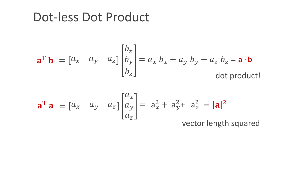### Dot-less Dot Product

$$
\mathbf{a}^{\mathrm{T}} \mathbf{b} = \begin{bmatrix} a_x & a_y & a_z \end{bmatrix} \begin{bmatrix} b_x \\ b_y \\ b_z \end{bmatrix} = a_x b_x + a_y b_y + a_z b_z = \mathbf{a} \cdot \mathbf{b}
$$
  
dot product!

$$
\mathbf{a}^{\mathrm{T}} \mathbf{a} = \begin{bmatrix} a_x & a_y & a_z \end{bmatrix} \begin{bmatrix} a_x \\ a_y \\ a_z \end{bmatrix} = a_x^2 + a_y^2 + a_z^2 = |\mathbf{a}|^2
$$

vector length squared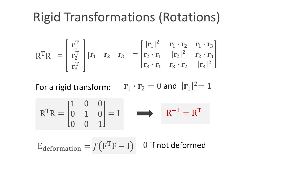### Rigid Transformations (Rotations)

$$
RTR = \begin{bmatrix} \mathbf{r}_1^T \\ \mathbf{r}_2^T \\ \mathbf{r}_3^T \end{bmatrix} [\mathbf{r}_1 \quad \mathbf{r}_2 \quad \mathbf{r}_3] = \begin{bmatrix} |\mathbf{r}_1|^2 & \mathbf{r}_1 \cdot \mathbf{r}_2 & \mathbf{r}_1 \cdot \mathbf{r}_3 \\ \mathbf{r}_2 \cdot \mathbf{r}_1 & |\mathbf{r}_2|^2 & \mathbf{r}_2 \cdot \mathbf{r}_3 \\ \mathbf{r}_3 \cdot \mathbf{r}_1 & \mathbf{r}_3 \cdot \mathbf{r}_2 & |\mathbf{r}_3|^2 \end{bmatrix}
$$

For a rigid transform:  $\mathbf{r}_1 \cdot \mathbf{r}_2 = 0$  and  $|\mathbf{r}_1|^2 = 1$ 

$$
R^{T}R = \begin{bmatrix} 1 & 0 & 0 \\ 0 & 1 & 0 \\ 0 & 0 & 1 \end{bmatrix} = I \qquad \longrightarrow \qquad R^{-1} = R^{T}
$$

 $E_{\text{deformation}} = f(F^T F - I)$  0 if not deformed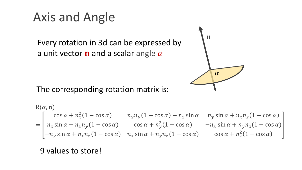### Axis and Angle

Every rotation in 3d can be expressed by a unit vector **n** and a scalar angle  $\alpha$ 



$$
R(\alpha, n)
$$
  
= 
$$
\begin{bmatrix} \cos \alpha + n_x^2 (1 - \cos \alpha) & n_x n_y (1 - \cos \alpha) - n_z \sin \alpha & n_y \sin \alpha + n_x n_z (1 - \cos \alpha) \\ n_z \sin \alpha + n_x n_y (1 - \cos \alpha) & \cos \alpha + n_y^2 (1 - \cos \alpha) & -n_x \sin \alpha + n_y n_z (1 - \cos \alpha) \\ -n_y \sin \alpha + n_x n_z (1 - \cos \alpha) & n_x \sin \alpha + n_y n_z (1 - \cos \alpha) & \cos \alpha + n_z^2 (1 - \cos \alpha) \end{bmatrix}
$$

9 values to store!

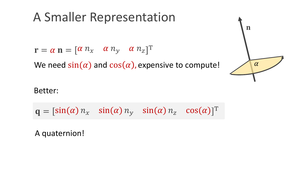### A Smaller Representation

 $\mathbf{r} = \alpha \mathbf{n} = [\alpha \; n_x \quad \alpha \; n_y \quad \alpha \; n_z]^\mathrm{T}$ 

We need  $sin(\alpha)$  and  $cos(\alpha)$ , expensive to compute!  $\alpha$ 

n

Better:

$$
\mathbf{q} = [\sin(\alpha) n_x \quad \sin(\alpha) n_y \quad \sin(\alpha) n_z \quad \cos(\alpha)]^\mathrm{T}
$$

A quaternion!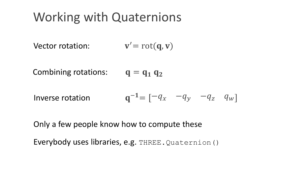### Working with Quaternions

Vector rotation:  $' = rot(q, v)$ 

Combining rotations:  $q = q_1 q_2$ 

Inverse rotation 
$$
\mathbf{q}^{-1} = \begin{bmatrix} -q_x & -q_y & -q_z & q_w \end{bmatrix}
$$

Only a few people know how to compute these

Everybody uses libraries, e.g. THREE. Quaternion ()